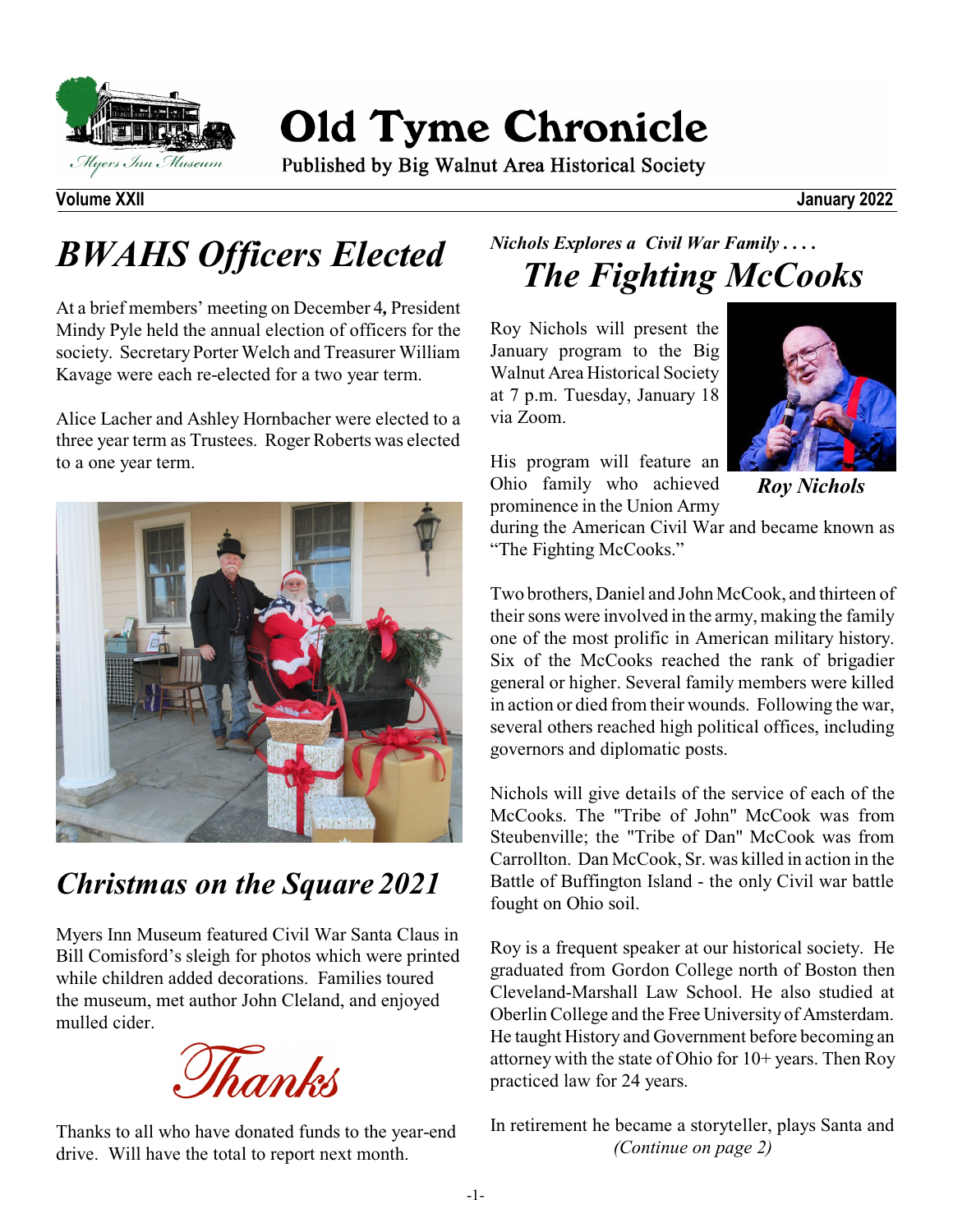

**Old Tyme Chronicle** 

Published by Big Walnut Area Historical Society

**Volume XXII January 2022**

# *BWAHS Officers Elected*

At a brief members' meeting on December 4*,* President Mindy Pyle held the annual election of officers for the society. Secretary Porter Welch and Treasurer William Kavage were each re-elected for a two year term.

Alice Lacher and Ashley Hornbacher were elected to a three year term as Trustees. Roger Roberts was elected to a one year term.



## *Christmas on the Square 2021*

Myers Inn Museum featured Civil War Santa Claus in Bill Comisford's sleigh for photos which were printed while children added decorations. Families toured the museum, met author John Cleland, and enjoyed mulled cider.



Thanks to all who have donated funds to the year-end drive. Will have the total to report next month.

### *Nichols Explores a Civil War Family . . . . The Fighting McCooks*

Roy Nichols will present the January program to the Big Walnut Area Historical Society at 7 p.m. Tuesday, January 18 via Zoom.



His program will feature an Ohio family who achieved prominence in the Union Army

*Roy Nichols*

during the American Civil War and became known as "The Fighting McCooks."

Two brothers, Daniel and John McCook, and thirteen of their sons were involved in the army, making the family one of the most prolific in American military history. Six of the McCooks reached the rank of brigadier general or higher. Several family members were killed in action or died from their wounds. Following the war, several others reached high political offices, including governors and diplomatic posts.

Nichols will give details of the service of each of the McCooks. The "Tribe of John" McCook was from Steubenville; the "Tribe of Dan" McCook was from Carrollton. Dan McCook, Sr. was killed in action in the Battle of Buffington Island - the only Civil war battle fought on Ohio soil.

Roy is a frequent speaker at our historical society. He graduated from Gordon College north of Boston then Cleveland-Marshall Law School. He also studied at Oberlin College and the Free University of Amsterdam. He taught History and Government before becoming an attorney with the state of Ohio for 10+ years. Then Roy practiced law for 24 years.

In retirement he became a storyteller, plays Santa and *(Continue on page 2)*